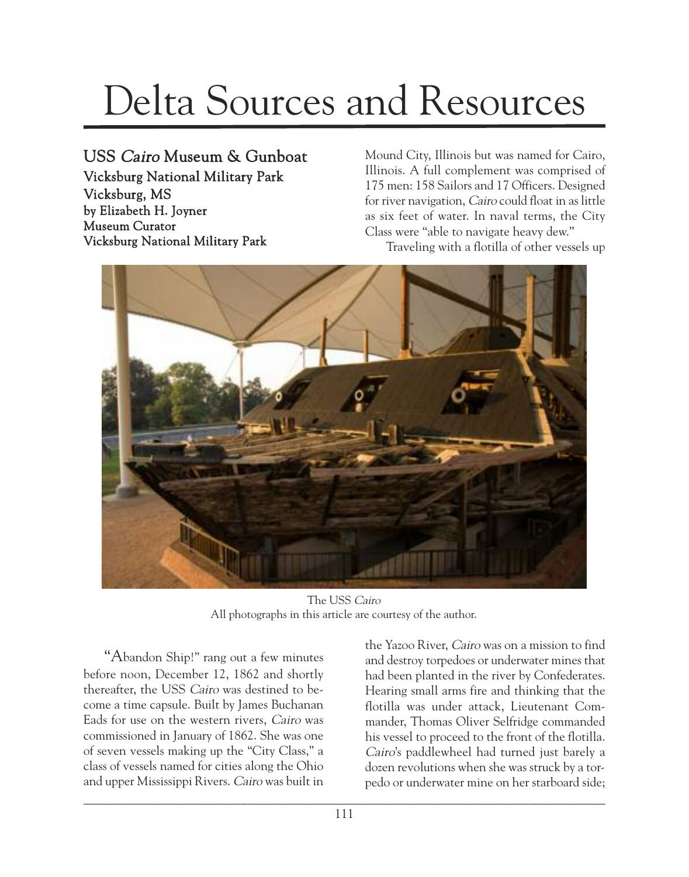## Delta Sources and Resources

## USS Cairo Museum & Gunboat

Vicksburg National Military Park Vicksburg, MS by Elizabeth H. Joyner Museum Curator Vicksburg National Military Park

Mound City, Illinois but was named for Cairo, Illinois. A full complement was comprised of 175 men: 158 Sailors and 17 Officers. Designed for river navigation, Cairo could float in as little as six feet of water. In naval terms, the City Class were "able to navigate heavy dew."

Traveling with a flotilla of other vessels up



The USS Cairo All photographs in this article are courtesy of the author.

"Abandon Ship!" rang out a few minutes before noon, December 12, 1862 and shortly thereafter, the USS Cairo was destined to become a time capsule. Built by James Buchanan Eads for use on the western rivers, Cairo was commissioned in January of 1862. She was one of seven vessels making up the "City Class," a class of vessels named for cities along the Ohio and upper Mississippi Rivers. Cairo was built in the Yazoo River, Cairo was on a mission to find and destroy torpedoes or underwater mines that had been planted in the river by Confederates. Hearing small arms fire and thinking that the flotilla was under attack, Lieutenant Commander, Thomas Oliver Selfridge commanded his vessel to proceed to the front of the flotilla. Cairo's paddlewheel had turned just barely a dozen revolutions when she was struck by a torpedo or underwater mine on her starboard side;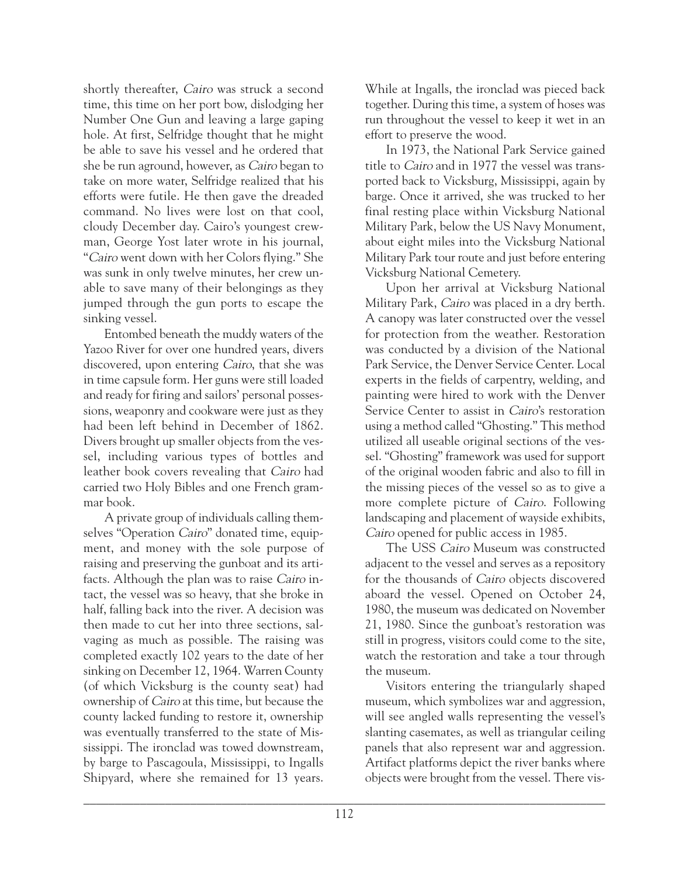shortly thereafter, Cairo was struck a second time, this time on her port bow, dislodging her Number One Gun and leaving a large gaping hole. At first, Selfridge thought that he might be able to save his vessel and he ordered that she be run aground, however, as Cairo began to take on more water, Selfridge realized that his efforts were futile. He then gave the dreaded command. No lives were lost on that cool, cloudy December day. Cairo's youngest crewman, George Yost later wrote in his journal, "Cairo went down with her Colors flying." She was sunk in only twelve minutes, her crew unable to save many of their belongings as they jumped through the gun ports to escape the sinking vessel.

Entombed beneath the muddy waters of the Yazoo River for over one hundred years, divers discovered, upon entering Cairo, that she was in time capsule form. Her guns were still loaded and ready for firing and sailors' personal possessions, weaponry and cookware were just as they had been left behind in December of 1862. Divers brought up smaller objects from the vessel, including various types of bottles and leather book covers revealing that Cairo had carried two Holy Bibles and one French grammar book.

A private group of individuals calling themselves "Operation Cairo" donated time, equipment, and money with the sole purpose of raising and preserving the gunboat and its artifacts. Although the plan was to raise Cairo intact, the vessel was so heavy, that she broke in half, falling back into the river. A decision was then made to cut her into three sections, salvaging as much as possible. The raising was completed exactly 102 years to the date of her sinking on December 12, 1964. Warren County (of which Vicksburg is the county seat) had ownership of Cairo at this time, but because the county lacked funding to restore it, ownership was eventually transferred to the state of Mississippi. The ironclad was towed downstream, by barge to Pascagoula, Mississippi, to Ingalls Shipyard, where she remained for 13 years.

While at Ingalls, the ironclad was pieced back together. During this time, a system of hoses was run throughout the vessel to keep it wet in an effort to preserve the wood.

In 1973, the National Park Service gained title to Cairo and in 1977 the vessel was transported back to Vicksburg, Mississippi, again by barge. Once it arrived, she was trucked to her final resting place within Vicksburg National Military Park, below the US Navy Monument, about eight miles into the Vicksburg National Military Park tour route and just before entering Vicksburg National Cemetery.

Upon her arrival at Vicksburg National Military Park, Cairo was placed in a dry berth. A canopy was later constructed over the vessel for protection from the weather. Restoration was conducted by a division of the National Park Service, the Denver Service Center. Local experts in the fields of carpentry, welding, and painting were hired to work with the Denver Service Center to assist in *Cairo*'s restoration using a method called "Ghosting." This method utilized all useable original sections of the vessel. "Ghosting" framework was used for support of the original wooden fabric and also to fill in the missing pieces of the vessel so as to give a more complete picture of Cairo. Following landscaping and placement of wayside exhibits, Cairo opened for public access in 1985.

The USS Cairo Museum was constructed adjacent to the vessel and serves as a repository for the thousands of Cairo objects discovered aboard the vessel. Opened on October 24, 1980, the museum was dedicated on November 21, 1980. Since the gunboat's restoration was still in progress, visitors could come to the site, watch the restoration and take a tour through the museum.

Visitors entering the triangularly shaped museum, which symbolizes war and aggression, will see angled walls representing the vessel's slanting casemates, as well as triangular ceiling panels that also represent war and aggression. Artifact platforms depict the river banks where objects were brought from the vessel. There vis